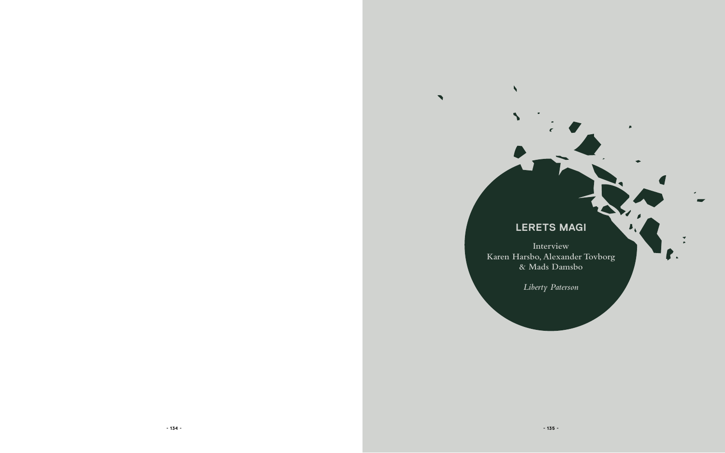

# **lerets magi**

**Interview Karen Harsbo, Alexander Tovborg & Mads Damsbo**

 $\blacktriangle$ 

 $\blacktriangleright$ 

*Liberty Paterson*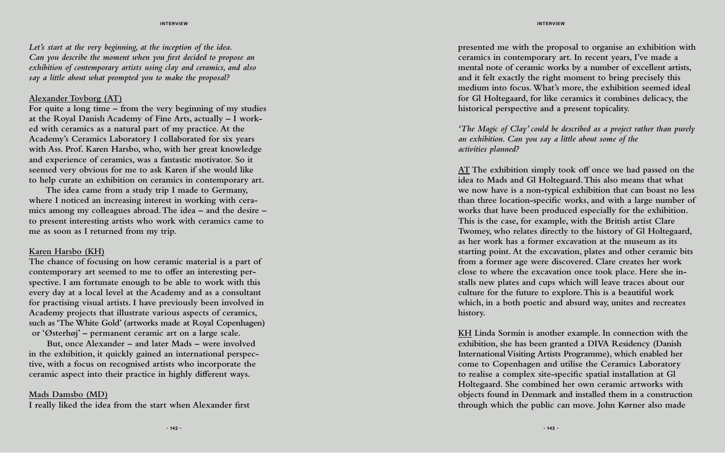**presented me with the proposal to organise an exhibition with ceramics in contemporary art. In recent years, I've made a mental note of ceramic works by a number of excellent artists, and it felt exactly the right moment to bring precisely this medium into focus. What's more, the exhibition seemed ideal for Gl Holtegaard, for like ceramics it combines delicacy, the historical perspective and a present topicality.** 

### *'The Magic of Clay' could be described as a project rather than purely an exhibition. Can you say a little about some of the activities planned?*

**AT The exhibition simply took off once we had passed on the idea to Mads and Gl Holtegaard. This also means that what we now have is a non-typical exhibition that can boast no less than three location-specific works, and with a large number of works that have been produced especially for the exhibition. This is the case, for example, with the British artist Clare Twomey, who relates directly to the history of Gl Holtegaard, as her work has a former excavation at the museum as its starting point. At the excavation, plates and other ceramic bits from a former age were discovered. Clare creates her work close to where the excavation once took place. Here she in stalls new plates and cups which will leave traces about our culture for the future to explore. This is a beautiful work which, in a both poetic and absurd way, unites and recreates history.**

**KH Linda Sormin is another example. In connection with the exhibition, she has been granted a DIVA Residency (Danish International Visiting Artists Programme), which enabled her come to Copenhagen and utilise the Ceramics Laboratory to realise a complex site-specific spatial installation at Gl Holtegaard. She combined her own ceramic artworks with objects found in Denmark and installed them in a construction through which the public can move. John Kørner also made** 

*Let's start at the very beginning, at the inception of the idea. Can you describe the moment when you first decided to propose an exhibition of contemporary artists using clay and ceramics, and also say a little about what prompted you to make the proposal?*

#### **Alexander Tovborg (AT)**

**For quite a long time – from the very beginning of my studies at the Royal Danish Academy of Fine Arts, actually – I work ed with ceramics as a natural part of my practice. At the Academy's Ceramics Laboratory I collaborated for six years with Ass. Prof. Karen Harsbo, who, with her great knowledge and experience of ceramics, was a fantastic motivator. So it seemed very obvious for me to ask Karen if she would like to help curate an exhibition on ceramics in contemporary art.**

 **The idea came from a study trip I made to Germany, where I noticed an increasing interest in working with cera mics among my colleagues abroad. The idea – and the desire – to present interesting artists who work with ceramics came to me as soon as I returned from my trip.**

#### **Karen Harsbo (KH)**

**The chance of focusing on how ceramic material is a part of contemporary art seemed to me to offer an interesting per spective. I am fortunate enough to be able to work with this every day at a local level at the Academy and as a consultant for practising visual artists. I have previously been involved in Academy projects that illustrate various aspects of ceramics, such as 'The White Gold' (artworks made at Royal Copenhagen) or 'Østerhøj' – permanent ceramic art on a large scale.**

 **But, once Alexander – and later Mads – were involved in the exhibition, it quickly gained an international perspec tive, with a focus on recognised artists who incorporate the ceramic aspect into their practice in highly different ways.**

#### **Mads Damsbo (MD)**

**I really liked the idea from the start when Alexander first**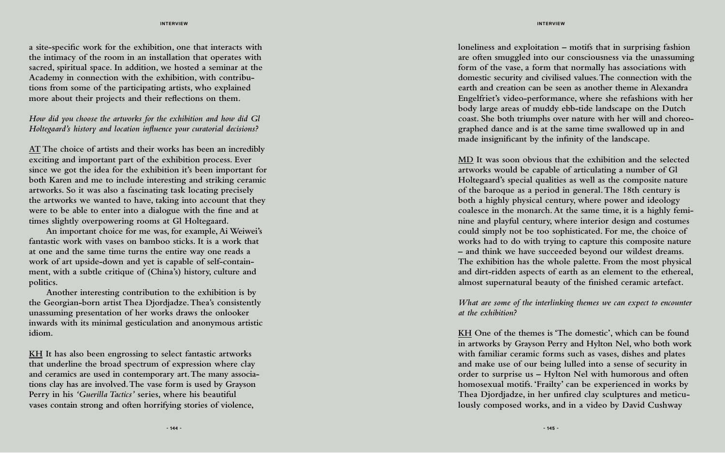**loneliness and exploitation – motifs that in surprising fashion are often smuggled into our consciousness via the unassuming form of the vase, a form that normally has associations with domestic security and civilised values. The connection with the earth and creation can be seen as another theme in Alexandra Engelfriet's video-performance, where she refashions with her body large areas of muddy ebb-tide landscape on the Dutch coast. She both triumphs over nature with her will and choreo graphed dance and is at the same time swallowed up in and made insignificant by the infinity of the landscape.**

#### *What are some of the interlinking themes we can expect to encounter at the exhibition?*

**MD It was soon obvious that the exhibition and the selected artworks would be capable of articulating a number of Gl Holtegaard's special qualities as well as the composite nature of the baroque as a period in general. The 18th century is both a highly physical century, where power and ideology coalesce in the monarch. At the same time, it is a highly femi nine and playful century, where interior design and costumes could simply not be too sophisticated. For me, the choice of works had to do with trying to capture this composite nature – and think we have succeeded beyond our wildest dreams. The exhibition has the whole palette. From the most physical and dirt-ridden aspects of earth as an element to the ethereal, almost supernatural beauty of the finished ceramic artefact.** 

**KH One of the themes is 'The domestic', which can be found in artworks by Grayson Perry and Hylton Nel, who both work with familiar ceramic forms such as vases, dishes and plates and make use of our being lulled into a sense of security in order to surprise us – Hylton Nel with humorous and often homosexual motifs. 'Frailty' can be experienced in works by Thea Djordjadze, in her unfired clay sculptures and meticu lously composed works, and in a video by David Cushway** 

**a site-specific work for the exhibition, one that interacts with the intimacy of the room in an installation that operates with sacred, spiritual space. In addition, we hosted a seminar at the Academy in connection with the exhibition, with contribu tions from some of the participating artists, who explained more about their projects and their reflections on them.**

## *How did you choose the artworks for the exhibition and how did Gl Holtegaard's history and location influence your curatorial decisions?*

**AT The choice of artists and their works has been an incredibly exciting and important part of the exhibition process. Ever since we got the idea for the exhibition it's been important for both Karen and me to include interesting and striking ceramic artworks. So it was also a fascinating task locating precisely the artworks we wanted to have, taking into account that they were to be able to enter into a dialogue with the fine and at times slightly overpowering rooms at Gl Holtegaard.**

 **An important choice for me was, for example, Ai Weiwei's fantastic work with vases on bamboo sticks. It is a work that at one and the same time turns the entire way one reads a work of art upside-down and yet is capable of self-contain ment, with a subtle critique of (China's) history, culture and politics.** 

 **Another interesting contribution to the exhibition is by the Georgian-born artist Thea Djordjadze. Thea's consistently unassuming presentation of her works draws the onlooker inwards with its minimal gesticulation and anonymous artistic idiom.**

**KH It has also been engrossing to select fantastic artworks that underline the broad spectrum of expression where clay and ceramics are used in contemporary art. The many associa tions clay has are involved. The vase form is used by Grayson Perry in his** *'Guerilla Tactics'* **series, where his beautiful vases contain strong and often horrifying stories of violence,**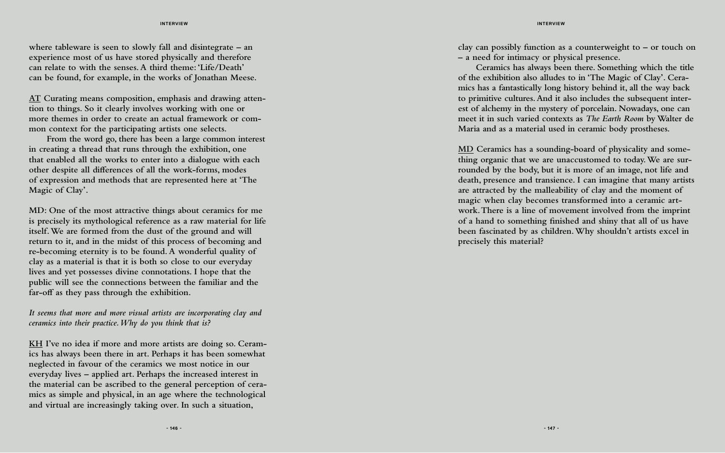**clay can possibly function as a counterweight to – or touch on – a need for intimacy or physical presence.**

 **Ceramics has always been there. Something which the title of the exhibition also alludes to in 'The Magic of Clay'. Ceramics has a fantastically long history behind it, all the way back to primitive cultures. And it also includes the subsequent interest of alchemy in the mystery of porcelain. Nowadays, one can meet it in such varied contexts as** *The Earth Room* **by Walter de Maria and as a material used in ceramic body prostheses.**

**MD Ceramics has a sounding-board of physicality and something organic that we are unaccustomed to today. We are surrounded by the body, but it is more of an image, not life and death, presence and transience. I can imagine that many artists are attracted by the malleability of clay and the moment of magic when clay becomes transformed into a ceramic artwork. There is a line of movement involved from the imprint of a hand to something finished and shiny that all of us have been fascinated by as children. Why shouldn't artists excel in precisely this material?**

**where tableware is seen to slowly fall and disintegrate – an experience most of us have stored physically and therefore can relate to with the senses. A third theme: 'Life/Death' can be found, for example, in the works of Jonathan Meese.** 

**AT Curating means composition, emphasis and drawing attention to things. So it clearly involves working with one or more themes in order to create an actual framework or common context for the participating artists one selects.**

 **From the word go, there has been a large common interest in creating a thread that runs through the exhibition, one that enabled all the works to enter into a dialogue with each other despite all differences of all the work-forms, modes of expression and methods that are represented here at 'The Magic of Clay'.**

**MD: One of the most attractive things about ceramics for me is precisely its mythological reference as a raw material for life itself. We are formed from the dust of the ground and will return to it, and in the midst of this process of becoming and re-becoming eternity is to be found. A wonderful quality of clay as a material is that it is both so close to our everyday lives and yet possesses divine connotations. I hope that the public will see the connections between the familiar and the far-off as they pass through the exhibition.** 

*It seems that more and more visual artists are incorporating clay and ceramics into their practice. Why do you think that is?*

**KH I've no idea if more and more artists are doing so. Ceramics has always been there in art. Perhaps it has been somewhat neglected in favour of the ceramics we most notice in our everyday lives – applied art. Perhaps the increased interest in the material can be ascribed to the general perception of ceramics as simple and physical, in an age where the technological and virtual are increasingly taking over. In such a situation,**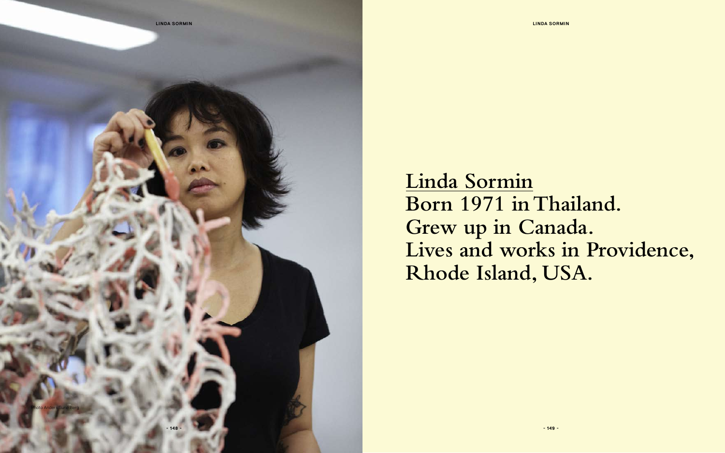**Linda Sormin Born 1971 in Thailand. Grew up in Canada. Lives and works in Providence, Rhode Island, USA.**

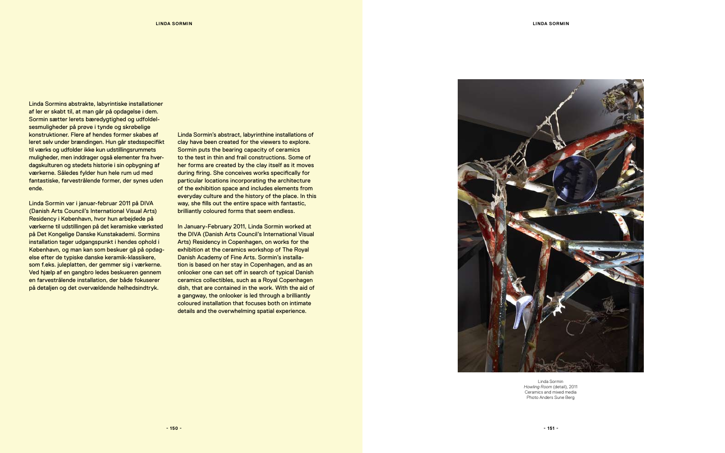Linda Sormin *Howling Room* (detail), 2011 Ceramics and mixed media Photo Anders Sune Berg

Linda Sormins abstrakte, labyrintiske installationer af ler er skabt til, at man går på opdagelse i dem. Sormin sætter lerets bæredygtighed og udfoldelsesmuligheder på prøve i tynde og skrøbelige konstruktioner. Flere af hendes former skabes af leret selv under brændingen. Hun går stedsspecifikt til værks og udfolder ikke kun udstillingsrummets muligheder, men inddrager også elementer fra hverdagskulturen og stedets historie i sin opbygning af værkerne. Således fylder hun hele rum ud med fantastiske, farvestrålende former, der synes uden ende.

Linda Sormin var i januar-februar 2011 på DIVA (Danish Arts Council's International Visual Arts) Residency i København, hvor hun arbejdede på værkerne til udstillingen på det keramiske værksted på Det Kongelige Danske Kunstakademi. Sormins installation tager udgangspunkt i hendes ophold i København, og man kan som beskuer gå på opdagelse efter de typiske danske keramik-klassikere, som f.eks. juleplatten, der gemmer sig i værkerne. Ved hjælp af en gangbro ledes beskueren gennem en farvestrålende installation, der både fokuserer på detaljen og det overvældende helhedsindtryk.

Linda Sormin's abstract, labyrinthine installations of clay have been created for the viewers to explore. Sormin puts the bearing capacity of ceramics to the test in thin and frail constructions. Some of her forms are created by the clay itself as it moves during firing. She conceives works specifically for particular locations incorporating the architecture of the exhibition space and includes elements from everyday culture and the history of the place. In this way, she fills out the entire space with fantastic, brilliantly coloured forms that seem endless.

In January-February 2011, Linda Sormin worked at the DIVA (Danish Arts Council's International Visual Arts) Residency in Copenhagen, on works for the exhibition at the ceramics workshop of The Royal Danish Academy of Fine Arts. Sormin's installation is based on her stay in Copenhagen, and as an onlooker one can set off in search of typical Danish ceramics collectibles, such as a Royal Copenhagen dish, that are contained in the work. With the aid of a gangway, the onlooker is led through a brilliantly coloured installation that focuses both on intimate details and the overwhelming spatial experience.

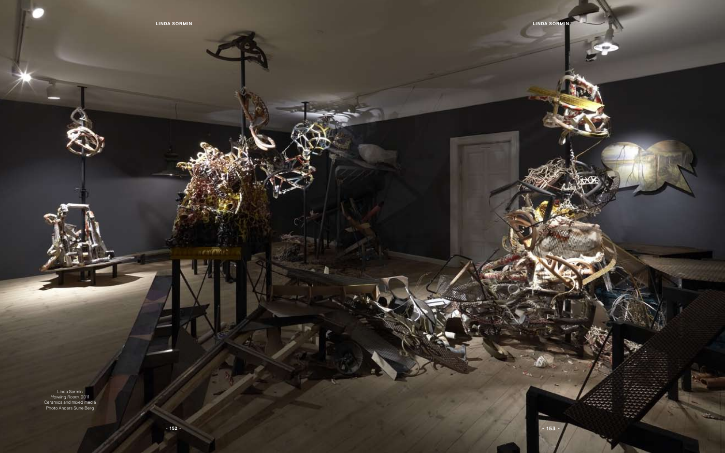**Linda Sormin**

Linda Sormin *Howling Room,* 2011 Ceramics and mixed media Photo Anders Sune Berg

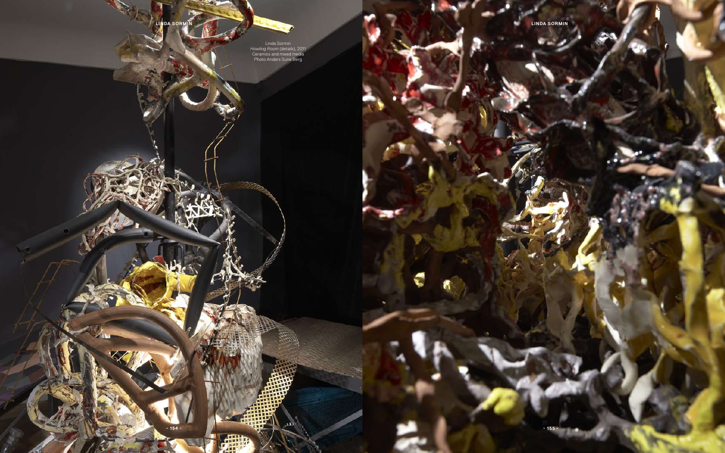**Linda Sormin Linda Sormin**

€



Linda Sormin *Howling Room* (details), 2011 Ceramics and mixed media Photo Anders Sune Berg

 $\sim$   $\sim$ 

曲形

لتقفن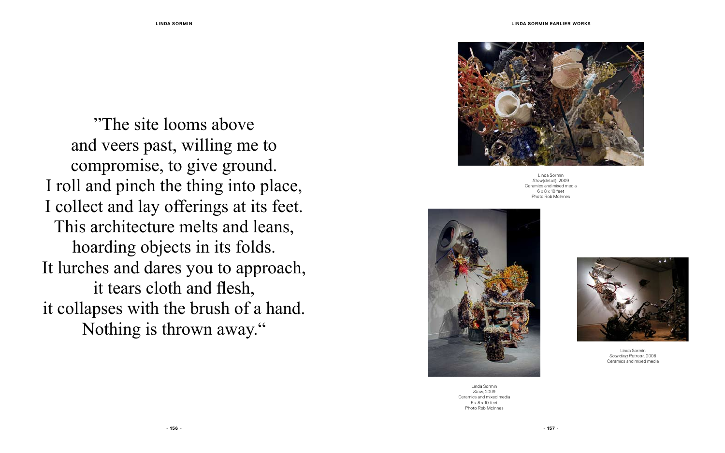

Linda Sormin *Stow*(detail), 2009 Ceramics and mixed media 6 x 8 x 10 feet Photo Rob McInnes



Linda Sormin *Stow*, 2009 Ceramics and mixed media 6 x 8 x 10 feet Photo Rob McInnes

Linda Sormin *Sounding Retreat*, 2008 Ceramics and mixed media

"The site looms above and veers past, willing me to compromise, to give ground. I roll and pinch the thing into place, I collect and lay offerings at its feet. This architecture melts and leans, hoarding objects in its folds. It lurches and dares you to approach, it tears cloth and flesh, it collapses with the brush of a hand. Nothing is thrown away."